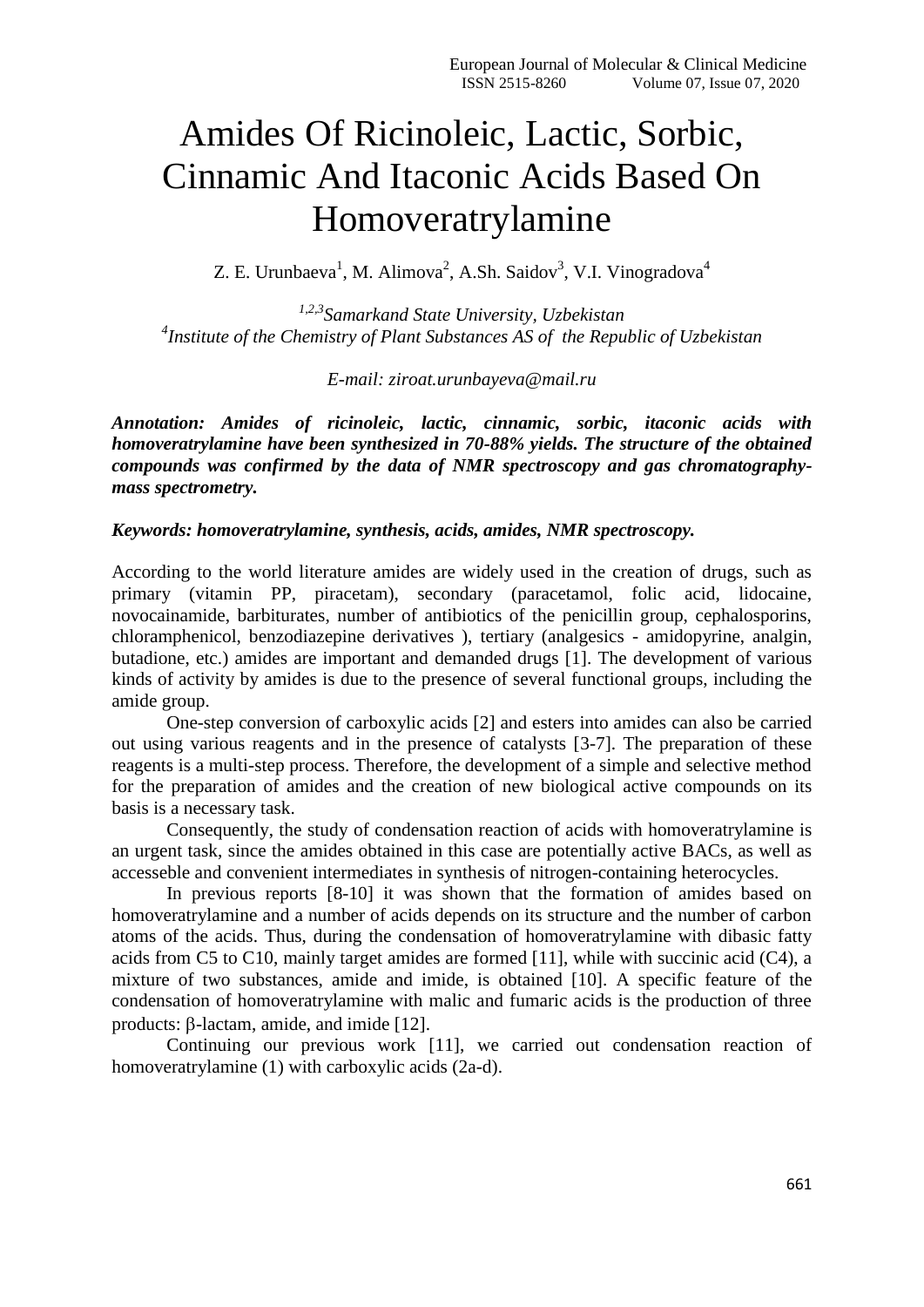# Amides Of Ricinoleic, Lactic, Sorbic, Cinnamic And Itaconic Acids Based On Homoveratrylamine

Z. E. Urunbaeva<sup>1</sup>, M. Alimova<sup>2</sup>, A.Sh. Saidov<sup>3</sup>, V.I. Vinogradova<sup>4</sup>

*1,2,3Samarkand State University, Uzbekistan 4 Institute of the Chemistry of Plant Substances AS of the Republic of Uzbekistan*

*E-mail: ziroat.urunbayeva@mail.ru*

*Annotation: Amides of ricinoleic, lactic, cinnamic, sorbic, itaconic acids with homoveratrylamine have been synthesized in 70-88% yields. The structure of the obtained compounds was confirmed by the data of NMR spectroscopy and gas chromatographymass spectrometry.*

### *Keywords: homoveratrylamine, synthesis, acids, amides, NMR spectroscopy.*

According to the world literature amides are widely used in the creation of drugs, such as primary (vitamin PP, piracetam), secondary (paracetamol, folic acid, lidocaine, novocainamide, barbiturates, number of antibiotics of the penicillin group, cephalosporins, chloramphenicol, benzodiazepine derivatives ), tertiary (analgesics - amidopyrine, analgin, butadione, etc.) amides are important and demanded drugs [1]. The development of various kinds of activity by amides is due to the presence of several functional groups, including the amide group.

One-step conversion of carboxylic acids [2] and esters into amides can also be carried out using various reagents and in the presence of catalysts [3-7]. The preparation of these reagents is a multi-step process. Therefore, the development of a simple and selective method for the preparation of amides and the creation of new biological active compounds on its basis is a necessary task.

Consequently, the study of condensation reaction of acids with homoveratrylamine is an urgent task, since the amides obtained in this case are potentially active BACs, as well as accesseble and convenient intermediates in synthesis of nitrogen-containing heterocycles.

In previous reports [8-10] it was shown that the formation of amides based on homoveratrylamine and a number of acids depends on its structure and the number of carbon atoms of the acids. Thus, during the condensation of homoveratrylamine with dibasic fatty acids from C5 to C10, mainly target amides are formed [11], while with succinic acid (C4), a mixture of two substances, amide and imide, is obtained [10]. A specific feature of the condensation of homoveratrylamine with malic and fumaric acids is the production of three products:  $\beta$ -lactam, amide, and imide [12].

Continuing our previous work [11], we carried out condensation reaction of homoveratrylamine (1) with carboxylic acids (2a-d).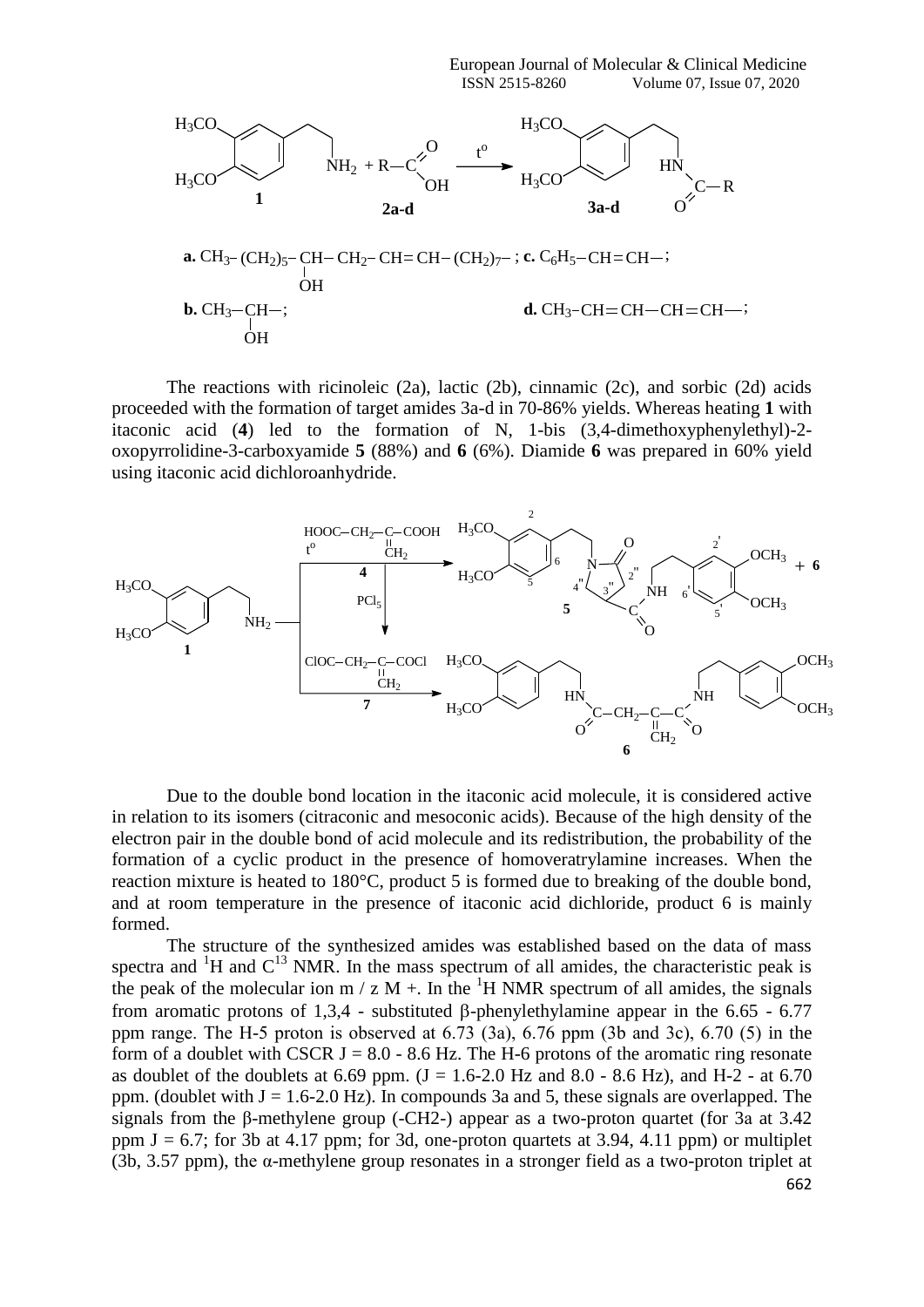

The reactions with ricinoleic (2a), lactic (2b), cinnamic (2c), and sorbic (2d) acids proceeded with the formation of target amides 3a-d in 70-86% yields. Whereas heating **1** with itaconic acid (**4**) led to the formation of N, 1-bis (3,4-dimethoxyphenylethyl)-2 oxopyrrolidine-3-carboxyamide **5** (88%) and **6** (6%). Diamide **6** was prepared in 60% yield using itaconic acid dichloroanhydride.



Due to the double bond location in the itaconic acid molecule, it is considered active in relation to its isomers (citraconic and mesoconic acids). Because of the high density of the electron pair in the double bond of acid molecule and its redistribution, the probability of the formation of a cyclic product in the presence of homoveratrylamine increases. When the reaction mixture is heated to 180°C, product 5 is formed due to breaking of the double bond, and at room temperature in the presence of itaconic acid dichloride, product 6 is mainly formed.

662 The structure of the synthesized amides was established based on the data of mass spectra and  ${}^{1}H$  and  $C^{13}$  NMR. In the mass spectrum of all amides, the characteristic peak is the peak of the molecular ion m / z M +. In the  ${}^{1}H$  NMR spectrum of all amides, the signals from aromatic protons of 1,3,4 - substituted  $\beta$ -phenylethylamine appear in the 6.65 - 6.77 ppm range. The H-5 proton is observed at  $6.73$  (3a),  $6.76$  ppm (3b and 3c),  $6.70$  (5) in the form of a doublet with CSCR  $J = 8.0 - 8.6$  Hz. The H-6 protons of the aromatic ring resonate as doublet of the doublets at 6.69 ppm.  $(J = 1.6 - 2.0 \text{ Hz and } 8.0 - 8.6 \text{ Hz})$ , and H-2 - at 6.70 ppm. (doublet with  $J = 1.6-2.0$  Hz). In compounds 3a and 5, these signals are overlapped. The signals from the β-methylene group (-CH2-) appear as a two-proton quartet (for 3а at 3.42 ppm  $J = 6.7$ ; for 3b at 4.17 ppm; for 3d, one-proton quartets at 3.94, 4.11 ppm) or multiplet (3b, 3.57 ppm), the α-methylene group resonates in a stronger field as a two-proton triplet at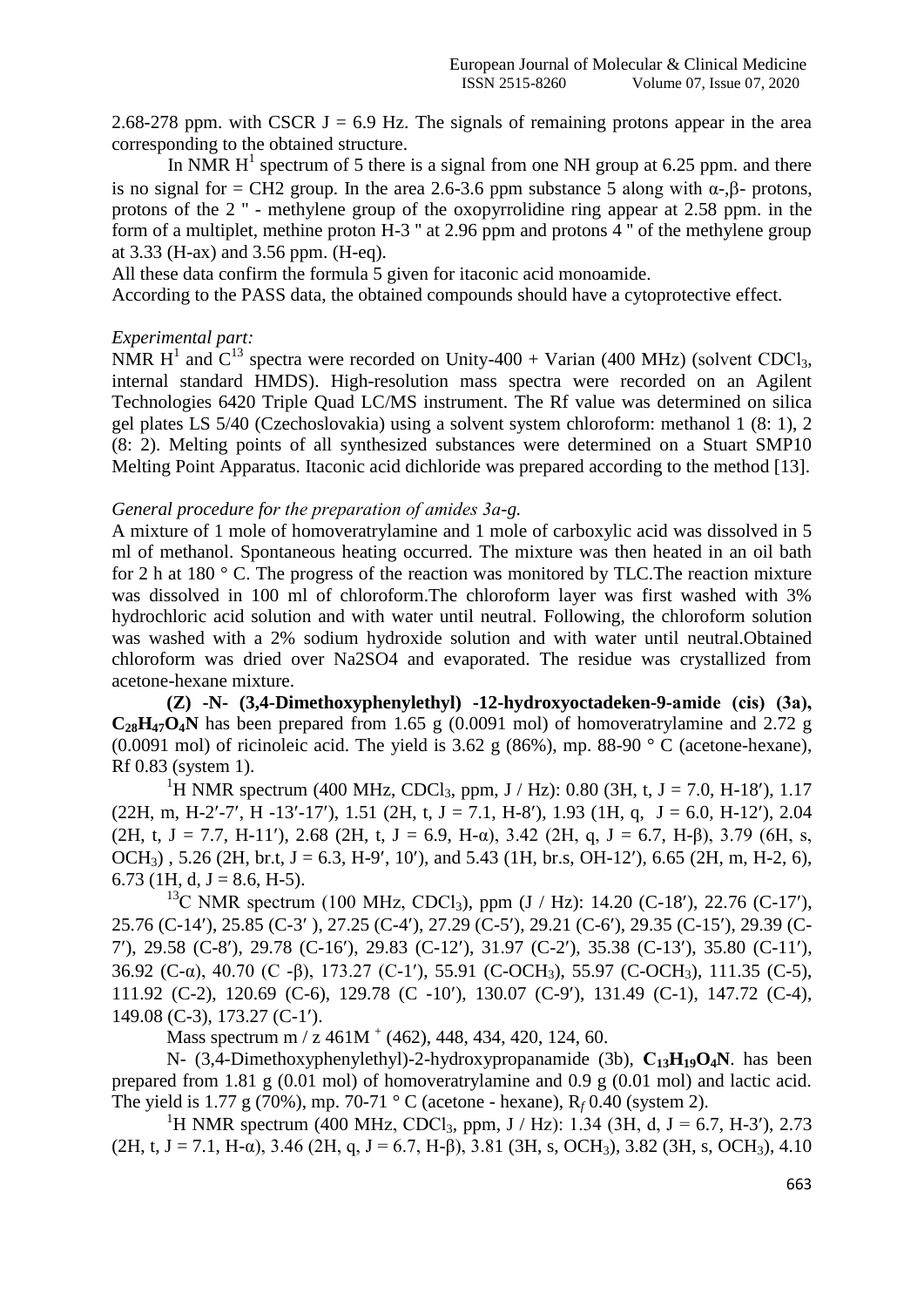2.68-278 ppm. with CSCR J = 6.9 Hz. The signals of remaining protons appear in the area corresponding to the obtained structure.

In NMR  $H^1$  spectrum of 5 there is a signal from one NH group at 6.25 ppm. and there is no signal for = CH2 group. In the area 2.6-3.6 ppm substance 5 along with  $\alpha$ -, $\beta$ - protons, protons of the 2 '' - methylene group of the oxopyrrolidine ring appear at 2.58 ppm. in the form of a multiplet, methine proton H-3 '' at 2.96 ppm and protons 4 '' of the methylene group at 3.33 (H-ax) and 3.56 ppm. (H-eq).

All these data confirm the formula 5 given for itaconic acid monoamide.

According to the PASS data, the obtained compounds should have a cytoprotective effect.

#### *Experimental part:*

NMR H<sup>1</sup> and  $C^{13}$  spectra were recorded on Unity-400 + Varian (400 MHz) (solvent CDCl<sub>3</sub>, internal standard HMDS). High-resolution mass spectra were recorded on an Agilent Technologies 6420 Triple Quad LC/MS instrument. The Rf value was determined on silica gel plates LS 5/40 (Czechoslovakia) using a solvent system chloroform: methanol 1 (8: 1), 2 (8: 2). Melting points of all synthesized substances were determined on a Stuart SMP10 Melting Point Apparatus. Itaconic acid dichloride was prepared according to the method [13].

#### *General procedure for the preparation of amides 3а-g.*

A mixture of 1 mole of homoveratrylamine and 1 mole of carboxylic acid was dissolved in 5 ml of methanol. Spontaneous heating occurred. The mixture was then heated in an oil bath for 2 h at 180 ° C. The progress of the reaction was monitored by TLC.The reaction mixture was dissolved in 100 ml of chloroform.The chloroform layer was first washed with 3% hydrochloric acid solution and with water until neutral. Following, the chloroform solution was washed with a 2% sodium hydroxide solution and with water until neutral.Obtained chloroform was dried over Na2SO4 and evaporated. The residue was crystallized from acetone-hexane mixture.

**(Z) -N- (3,4-Dimethoxyphenylethyl) -12-hydroxyoctadeken-9-amide (cis) (3а),**  $C_{28}H_{47}O_4N$  has been prepared from 1.65 g (0.0091 mol) of homoveratrylamine and 2.72 g (0.0091 mol) of ricinoleic acid. The yield is 3.62 g (86%), mp. 88-90  $\degree$  C (acetone-hexane), Rf 0.83 (system 1).

<sup>1</sup>H NMR spectrum (400 MHz, CDCl<sub>3</sub>, ppm, J / Hz): 0.80 (3H, t, J = 7.0, H-18'), 1.17  $(22H, m, H-2'-7', H-13'-17'), 1.51$   $(2H, t, J = 7.1, H-8'), 1.93$   $(1H, q, J = 6.0, H-12'), 2.04$ (2H, t, J = 7.7, H-11'), 2.68 (2H, t, J = 6.9, H-α), 3.42 (2H, q, J = 6.7, H-β), 3.79 (6H, s, OCH<sub>3</sub>), 5.26 (2H, br.t, J = 6.3, H-9', 10'), and 5.43 (1H, br.s, OH-12'), 6.65 (2H, m, H-2, 6), 6.73 (1H, d,  $J = 8.6$ , H-5).

<sup>13</sup>C NMR spectrum (100 MHz, CDCl<sub>3</sub>), ppm (J / Hz): 14.20 (C-18'), 22.76 (C-17'), 25.76 (C-14), 25.85 (C-3 ), 27.25 (C-4), 27.29 (C-5), 29.21 (C-6), 29.35 (C-15), 29.39 (C-7), 29.58 (C-8), 29.78 (C-16), 29.83 (C-12), 31.97 (C-2), 35.38 (C-13), 35.80 (C-11), 36.92 (C-α), 40.70 (C -β), 173.27 (C-1), 55.91 (C-OCH3), 55.97 (C-OCH3), 111.35 (C-5), 111.92 (C-2), 120.69 (C-6), 129.78 (C -10), 130.07 (C-9), 131.49 (C-1), 147.72 (C-4), 149.08 (C-3), 173.27 (C-1).

Mass spectrum m / z  $461M<sup>+</sup>$  (462), 448, 434, 420, 124, 60.

N- (3,4-Dimethoxyphenylethyl)-2-hydroxypropanamide (3b), **С13H19O4N**. has been prepared from 1.81 g (0.01 mol) of homoveratrylamine and 0.9 g (0.01 mol) and lactic acid. The yield is 1.77 g (70%), mp. 70-71 ° C (acetone - hexane), R*<sup>f</sup>* 0.40 (system 2).

<sup>1</sup>H NMR spectrum (400 MHz, CDCl<sub>3</sub>, ppm, J / Hz): 1.34 (3H, d, J = 6.7, H-3'), 2.73  $(2H, t, J = 7.1, H-\alpha)$ , 3.46 (2H, q, J = 6.7, H-β), 3.81 (3H, s, OCH<sub>3</sub>), 3.82 (3H, s, OCH<sub>3</sub>), 4.10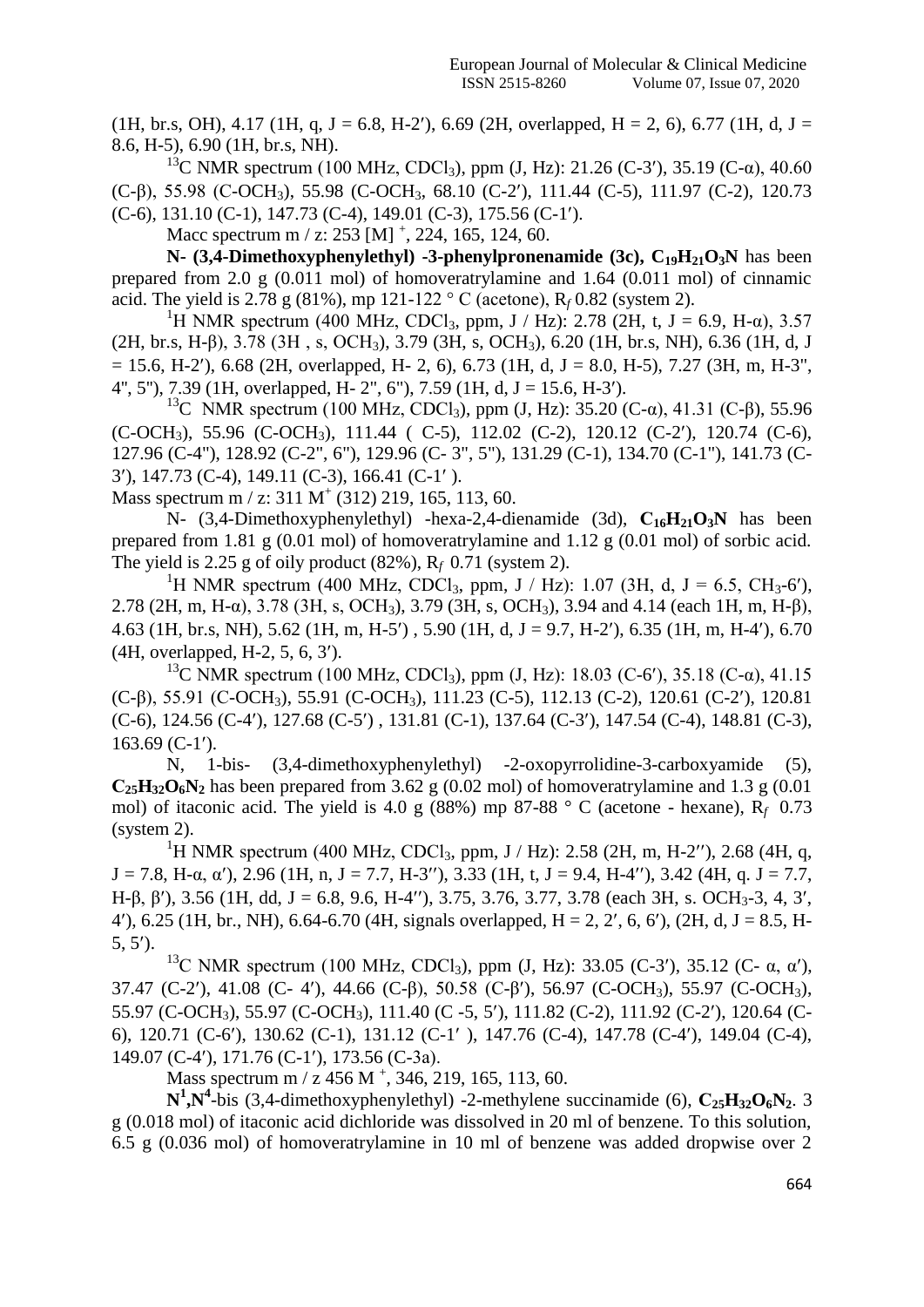(1H, br.s, OH), 4.17 (1H, q, J = 6.8, H-2'), 6.69 (2H, overlapped, H = 2, 6), 6.77 (1H, d, J = 8.6, H-5), 6.90 (1H, br.s, NH).

<sup>13</sup>C NMR spectrum (100 MHz, CDCl<sub>3</sub>), ppm (J, Hz): 21.26 (C-3'), 35.19 (C-α), 40.60 (C-β), 55.98 (C-OCH3), 55.98 (C-OCH3, 68.10 (C-2), 111.44 (C-5), 111.97 (C-2), 120.73  $(C-6)$ , 131.10  $(C-1)$ , 147.73  $(C-4)$ , 149.01  $(C-3)$ , 175.56  $(C-1')$ .

Macc spectrum m / z:  $253$  [M]  $^+$ ,  $224$ ,  $165$ ,  $124$ , 60.

**N-**  $(3,4$ **-Dimethoxyphenylethyl) -3-phenylpronenamide (3c),**  $C_{19}H_{21}O_3N$  **has been** prepared from 2.0 g (0.011 mol) of homoveratrylamine and 1.64 (0.011 mol) of cinnamic acid. The yield is 2.78 g (81%), mp 121-122 ° C (acetone),  $R_f$  0.82 (system 2).

<sup>1</sup>H NMR spectrum (400 MHz, CDCl<sub>3</sub>, ppm, J / Hz): 2.78 (2H, t, J = 6.9, H- $\alpha$ ), 3.57 (2H, br.s, H-β), 3.78 (3H , s, OCH3), 3.79 (3H, s, OCH3), 6.20 (1H, br.s, NH), 6.36 (1H, d, J  $= 15.6$ , H-2'), 6.68 (2H, overlapped, H- 2, 6), 6.73 (1H, d, J = 8.0, H-5), 7.27 (3H, m, H-3", 4", 5"), 7.39 (1H, overlapped, H- 2", 6"), 7.59 (1H, d, J = 15.6, H-3").

<sup>13</sup>C NMR spectrum (100 MHz, CDCl<sub>3</sub>), ppm (J, Hz): 35.20 (C-α), 41.31 (C-β), 55.96 (C-OCH3), 55.96 (C-OCH3), 111.44 ( C-5), 112.02 (C-2), 120.12 (C-2), 120.74 (C-6), 127.96 (C-4"), 128.92 (C-2", 6"), 129.96 (C- 3", 5"), 131.29 (C-1), 134.70 (C-1"), 141.73 (C-3), 147.73 (C-4), 149.11 (C-3), 166.41 (C-1 ).

Mass spectrum m / z:  $311 \text{ M}^+$  (312) 219, 165, 113, 60.

N- (3,4-Dimethoxyphenylethyl) -hexa-2,4-dienamide (3d), **С16H21O3N** has been prepared from 1.81 g (0.01 mol) of homoveratrylamine and 1.12 g (0.01 mol) of sorbic acid. The yield is 2.25 g of oily product (82%), R*f* 0.71 (system 2).

<sup>1</sup>H NMR spectrum (400 MHz, CDCl<sub>3</sub>, ppm, J / Hz): 1.07 (3H, d, J = 6.5, CH<sub>3</sub>-6'), 2.78 (2H, m, H-α), 3.78 (3H, s, OCH3), 3.79 (3H, s, OCH3), 3.94 and 4.14 (each 1H, m, H-β), 4.63 (1H, br.s, NH), 5.62 (1H, m, H-5) , 5.90 (1H, d, J = 9.7, H-2), 6.35 (1H, m, H-4), 6.70 (4H, overlapped, H-2, 5, 6, 3).

<sup>13</sup>C NMR spectrum (100 MHz, CDCl<sub>3</sub>), ppm (J, Hz): 18.03 (C-6'), 35.18 (C- $\alpha$ ), 41.15 (C-β), 55.91 (С-OCH3), 55.91 (C-OCH3), 111.23 (C-5), 112.13 (C-2), 120.61 (C-2), 120.81 (C-6), 124.56 (C-4), 127.68 (C-5) , 131.81 (C-1), 137.64 (C-3), 147.54 (C-4), 148.81 (C-3), 163.69 (C-1).

N, 1-bis- (3,4-dimethoxyphenylethyl) -2-oxopyrrolidine-3-carboxyamide (5),  $C_{25}H_{32}O_6N_2$  has been prepared from 3.62 g (0.02 mol) of homoveratrylamine and 1.3 g (0.01 mol) of itaconic acid. The yield is 4.0 g (88%) mp 87-88 ° C (acetone - hexane), R*f* 0.73 (system 2).

<sup>1</sup>H NMR spectrum (400 MHz, CDCl<sub>3</sub>, ppm, J / Hz): 2.58 (2H, m, H-2''), 2.68 (4H, q,  $J = 7.8$ , H-α, α'), 2.96 (1H, n, J = 7.7, H-3"), 3.33 (1H, t, J = 9.4, H-4"), 3.42 (4H, q, J = 7.7, H-β, β'), 3.56 (1H, dd, J = 6.8, 9.6, H-4''), 3.75, 3.76, 3.77, 3.78 (each 3H, s. OCH<sub>3</sub>-3, 4, 3'. 4'), 6.25 (1H, br., NH), 6.64-6.70 (4H, signals overlapped,  $H = 2, 2', 6, 6'$ ), (2H, d, J = 8.5, H-5, 5).

<sup>13</sup>C NMR spectrum (100 MHz, CDCl<sub>3</sub>), ppm (J, Hz): 33.05 (C-3'), 35.12 (C- α, α'), 37.47 (C-2), 41.08 (C- 4), 44.66 (C-β), 50.58 (C-β), 56.97 (C-OCH3), 55.97 (C-OCH3), 55.97 (C-OCH<sub>3</sub>), 55.97 (C-OCH<sub>3</sub>), 111.40 (C-5, 5'), 111.82 (C-2), 111.92 (C-2'), 120.64 (C-6), 120.71 (C-6), 130.62 (C-1), 131.12 (C-1 ), 147.76 (C-4), 147.78 (C-4), 149.04 (C-4), 149.07 (C-4), 171.76 (C-1), 173.56 (C-3а).

Mass spectrum m / z 456 M <sup>+</sup>, 346, 219, 165, 113, 60.

**N 1 ,N<sup>4</sup>** -bis (3,4-dimethoxyphenylethyl) -2-methylene succinamide (6), **С25H32O6N2**. 3 g (0.018 mol) of itaconic acid dichloride was dissolved in 20 ml of benzene. To this solution, 6.5 g (0.036 mol) of homoveratrylamine in 10 ml of benzene was added dropwise over 2